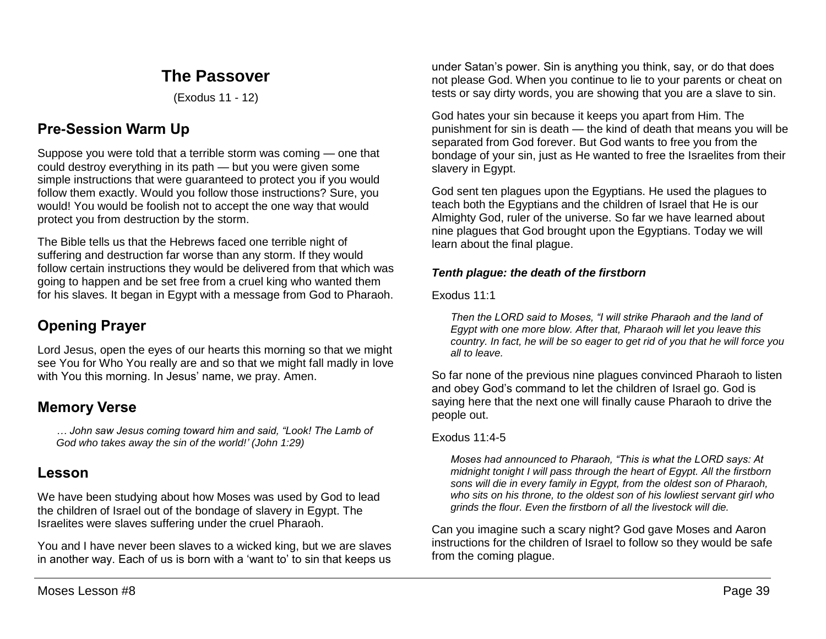# **The Passover**

(Exodus 11 - 12)

# **Pre-Session Warm Up**

Suppose you were told that a terrible storm was coming — one that could destroy everything in its path — but you were given some simple instructions that were guaranteed to protect you if you would follow them exactly. Would you follow those instructions? Sure, you would! You would be foolish not to accept the one way that would protect you from destruction by the storm.

The Bible tells us that the Hebrews faced one terrible night of suffering and destruction far worse than any storm. If they would follow certain instructions they would be delivered from that which was going to happen and be set free from a cruel king who wanted them for his slaves. It began in Egypt with a message from God to Pharaoh.

# **Opening Prayer**

Lord Jesus, open the eyes of our hearts this morning so that we might see You for Who You really are and so that we might fall madly in love with You this morning. In Jesus' name, we pray. Amen.

# **Memory Verse**

*… John saw Jesus coming toward him and said, "Look! The Lamb of God who takes away the sin of the world!' (John 1:29)*

# **Lesson**

We have been studying about how Moses was used by God to lead the children of Israel out of the bondage of slavery in Egypt. The Israelites were slaves suffering under the cruel Pharaoh.

You and I have never been slaves to a wicked king, but we are slaves in another way. Each of us is born with a 'want to' to sin that keeps us

under Satan's power. Sin is anything you think, say, or do that does not please God. When you continue to lie to your parents or cheat on tests or say dirty words, you are showing that you are a slave to sin.

God hates your sin because it keeps you apart from Him. The punishment for sin is death — the kind of death that means you will be separated from God forever. But God wants to free you from the bondage of your sin, just as He wanted to free the Israelites from their slavery in Egypt.

God sent ten plagues upon the Egyptians. He used the plagues to teach both the Egyptians and the children of Israel that He is our Almighty God, ruler of the universe. So far we have learned about nine plagues that God brought upon the Egyptians. Today we will learn about the final plague.

# *Tenth plague: the death of the firstborn*

Exodus 11:1

*Then the LORD said to Moses, "I will strike Pharaoh and the land of Egypt with one more blow. After that, Pharaoh will let you leave this country. In fact, he will be so eager to get rid of you that he will force you all to leave.*

So far none of the previous nine plagues convinced Pharaoh to listen and obey God's command to let the children of Israel go. God is saying here that the next one will finally cause Pharaoh to drive the people out.

# Exodus 11:4-5

*Moses had announced to Pharaoh, "This is what the LORD says: At midnight tonight I will pass through the heart of Egypt. All the firstborn sons will die in every family in Egypt, from the oldest son of Pharaoh, who sits on his throne, to the oldest son of his lowliest servant girl who grinds the flour. Even the firstborn of all the livestock will die.* 

Can you imagine such a scary night? God gave Moses and Aaron instructions for the children of Israel to follow so they would be safe from the coming plague.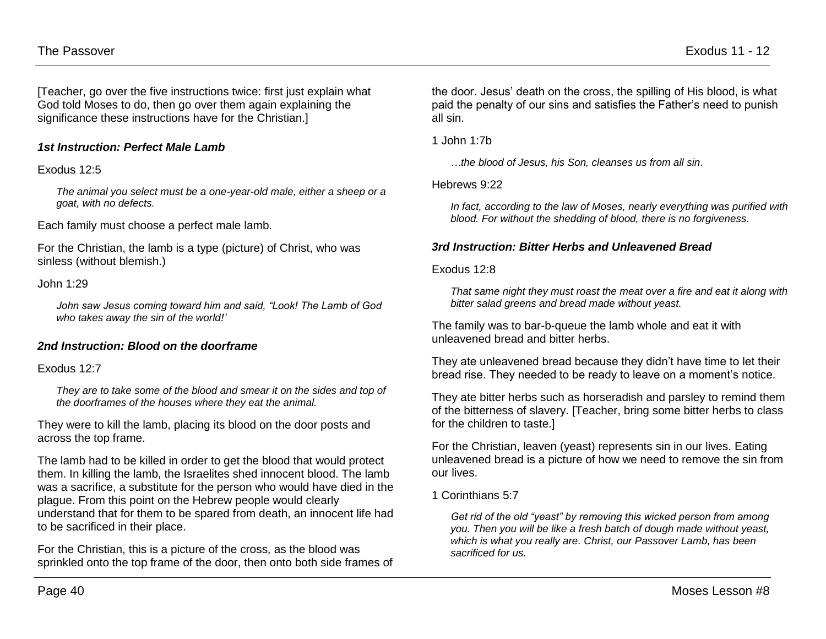[Teacher, go over the five instructions twice: first just explain what God told Moses to do, then go over them again explaining the significance these instructions have for the Christian.]

# *1st Instruction: Perfect Male Lamb*

#### Exodus 12:5

*The animal you select must be a one-year-old male, either a sheep or a goat, with no defects.*

Each family must choose a perfect male lamb.

For the Christian, the lamb is a type (picture) of Christ, who was sinless (without blemish.)

#### John 1:29

*John saw Jesus coming toward him and said, "Look! The Lamb of God who takes away the sin of the world!'*

#### *2nd Instruction: Blood on the doorframe*

#### Exodus 12:7

*They are to take some of the blood and smear it on the sides and top of the doorframes of the houses where they eat the animal.*

They were to kill the lamb, placing its blood on the door posts and across the top frame.

The lamb had to be killed in order to get the blood that would protect them. In killing the lamb, the Israelites shed innocent blood. The lamb was a sacrifice, a substitute for the person who would have died in the plague. From this point on the Hebrew people would clearly understand that for them to be spared from death, an innocent life had to be sacrificed in their place.

For the Christian, this is a picture of the cross, as the blood was sprinkled onto the top frame of the door, then onto both side frames of the door. Jesus' death on the cross, the spilling of His blood, is what paid the penalty of our sins and satisfies the Father's need to punish all sin.

1 John 1:7b

*…the blood of Jesus, his Son, cleanses us from all sin.*

#### Hebrews 9:22

*In fact, according to the law of Moses, nearly everything was purified with blood. For without the shedding of blood, there is no forgiveness.*

## *3rd Instruction: Bitter Herbs and Unleavened Bread*

#### Exodus 12:8

*That same night they must roast the meat over a fire and eat it along with bitter salad greens and bread made without yeast.*

The family was to bar-b-queue the lamb whole and eat it with unleavened bread and bitter herbs.

They ate unleavened bread because they didn't have time to let their bread rise. They needed to be ready to leave on a moment's notice.

They ate bitter herbs such as horseradish and parsley to remind them of the bitterness of slavery. [Teacher, bring some bitter herbs to class for the children to taste.]

For the Christian, leaven (yeast) represents sin in our lives. Eating unleavened bread is a picture of how we need to remove the sin from our lives.

1 Corinthians 5:7

*Get rid of the old "yeast" by removing this wicked person from among you. Then you will be like a fresh batch of dough made without yeast, which is what you really are. Christ, our Passover Lamb, has been sacrificed for us.*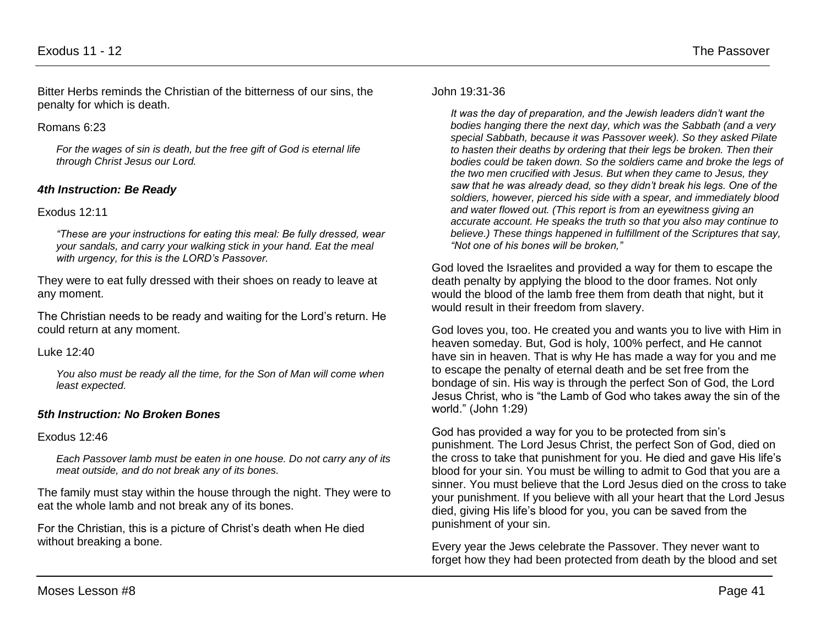Bitter Herbs reminds the Christian of the bitterness of our sins, the penalty for which is death.

## Romans 6:23

*For the wages of sin is death, but the free gift of God is eternal life through Christ Jesus our Lord.*

# *4th Instruction: Be Ready*

## Exodus 12:11

*"These are your instructions for eating this meal: Be fully dressed, wear your sandals, and carry your walking stick in your hand. Eat the meal with urgency, for this is the LORD's Passover.*

They were to eat fully dressed with their shoes on ready to leave at any moment.

The Christian needs to be ready and waiting for the Lord's return. He could return at any moment.

#### Luke 12:40

*You also must be ready all the time, for the Son of Man will come when least expected.*

# *5th Instruction: No Broken Bones*

#### Exodus 12:46

*Each Passover lamb must be eaten in one house. Do not carry any of its meat outside, and do not break any of its bones.*

The family must stay within the house through the night. They were to eat the whole lamb and not break any of its bones.

For the Christian, this is a picture of Christ's death when He died without breaking a bone.

#### John 19:31-36

*It was the day of preparation, and the Jewish leaders didn't want the bodies hanging there the next day, which was the Sabbath (and a very special Sabbath, because it was Passover week). So they asked Pilate to hasten their deaths by ordering that their legs be broken. Then their bodies could be taken down. So the soldiers came and broke the legs of the two men crucified with Jesus. But when they came to Jesus, they saw that he was already dead, so they didn't break his legs. One of the soldiers, however, pierced his side with a spear, and immediately blood and water flowed out. (This report is from an eyewitness giving an accurate account. He speaks the truth so that you also may continue to believe.) These things happened in fulfillment of the Scriptures that say, "Not one of his bones will be broken,"* 

God loved the Israelites and provided a way for them to escape the death penalty by applying the blood to the door frames. Not only would the blood of the lamb free them from death that night, but it would result in their freedom from slavery.

God loves you, too. He created you and wants you to live with Him in heaven someday. But, God is holy, 100% perfect, and He cannot have sin in heaven. That is why He has made a way for you and me to escape the penalty of eternal death and be set free from the bondage of sin. His way is through the perfect Son of God, the Lord Jesus Christ, who is "the Lamb of God who takes away the sin of the world." (John 1:29)

God has provided a way for you to be protected from sin's punishment. The Lord Jesus Christ, the perfect Son of God, died on the cross to take that punishment for you. He died and gave His life's blood for your sin. You must be willing to admit to God that you are a sinner. You must believe that the Lord Jesus died on the cross to take your punishment. If you believe with all your heart that the Lord Jesus died, giving His life's blood for you, you can be saved from the punishment of your sin.

Every year the Jews celebrate the Passover. They never want to forget how they had been protected from death by the blood and set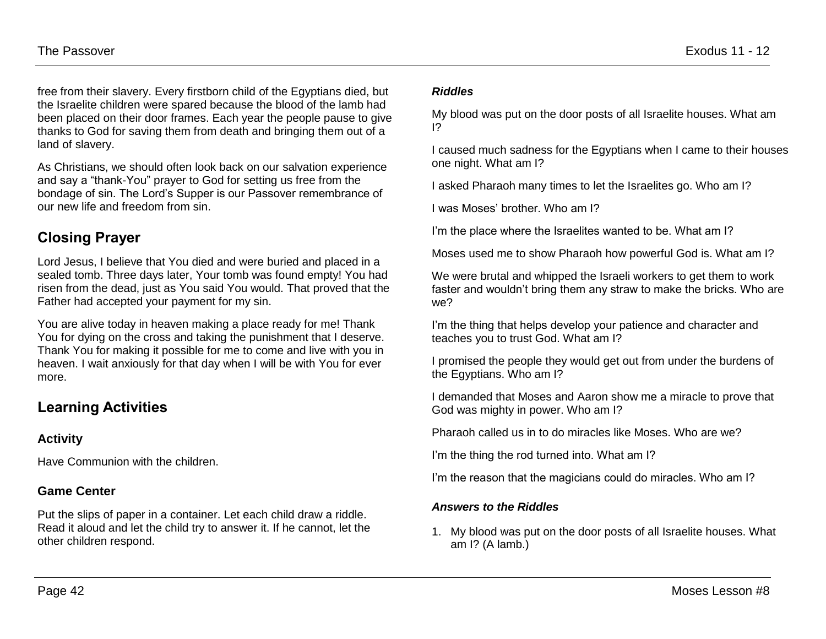free from their slavery. Every firstborn child of the Egyptians died, but the Israelite children were spared because the blood of the lamb had been placed on their door frames. Each year the people pause to give thanks to God for saving them from death and bringing them out of a land of slavery.

As Christians, we should often look back on our salvation experience and say a "thank-You" prayer to God for setting us free from the bondage of sin. The Lord's Supper is our Passover remembrance of our new life and freedom from sin.

# **Closing Prayer**

Lord Jesus, I believe that You died and were buried and placed in a sealed tomb. Three days later, Your tomb was found empty! You had risen from the dead, just as You said You would. That proved that the Father had accepted your payment for my sin.

You are alive today in heaven making a place ready for me! Thank You for dying on the cross and taking the punishment that I deserve. Thank You for making it possible for me to come and live with you in heaven. I wait anxiously for that day when I will be with You for ever more.

# **Learning Activities**

# **Activity**

Have Communion with the children.

# **Game Center**

Put the slips of paper in a container. Let each child draw a riddle. Read it aloud and let the child try to answer it. If he cannot, let the other children respond.

## *Riddles*

My blood was put on the door posts of all Israelite houses. What am I?

I caused much sadness for the Egyptians when I came to their houses one night. What am I?

I asked Pharaoh many times to let the Israelites go. Who am I?

I was Moses' brother. Who am I?

I'm the place where the Israelites wanted to be. What am I?

Moses used me to show Pharaoh how powerful God is. What am I?

We were brutal and whipped the Israeli workers to get them to work faster and wouldn't bring them any straw to make the bricks. Who are we?

I'm the thing that helps develop your patience and character and teaches you to trust God. What am I?

I promised the people they would get out from under the burdens of the Egyptians. Who am I?

I demanded that Moses and Aaron show me a miracle to prove that God was mighty in power. Who am I?

Pharaoh called us in to do miracles like Moses. Who are we?

I'm the thing the rod turned into. What am I?

I'm the reason that the magicians could do miracles. Who am I?

# *Answers to the Riddles*

1. My blood was put on the door posts of all Israelite houses. What am I? (A lamb.)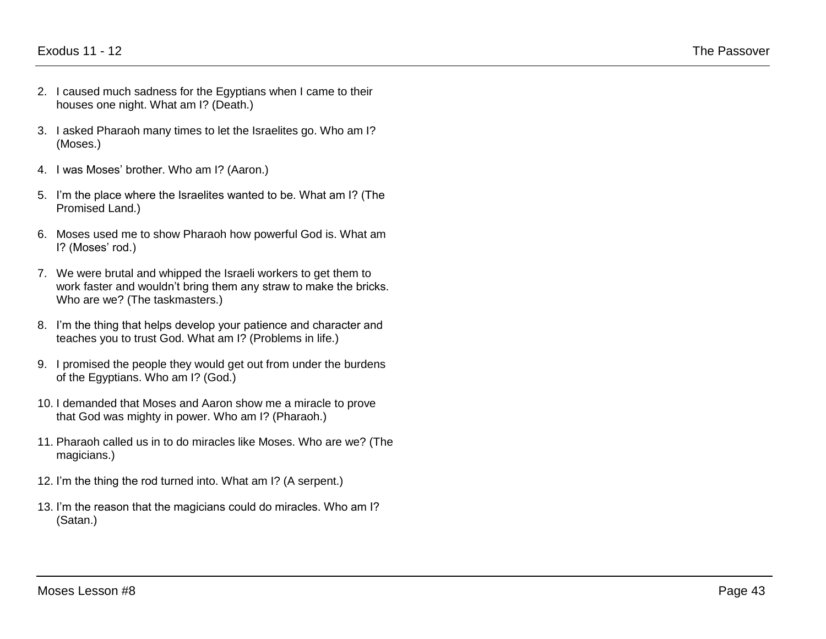- 2. I caused much sadness for the Egyptians when I came to their houses one night. What am I? (Death.)
- 3. I asked Pharaoh many times to let the Israelites go. Who am I? (Moses.)
- 4. I was Moses' brother. Who am I? (Aaron.)
- 5. I'm the place where the Israelites wanted to be. What am I? (The Promised Land.)
- 6. Moses used me to show Pharaoh how powerful God is. What am I? (Moses' rod.)
- 7. We were brutal and whipped the Israeli workers to get them to work faster and wouldn't bring them any straw to make the bricks. Who are we? (The taskmasters.)
- 8. I'm the thing that helps develop your patience and character and teaches you to trust God. What am I? (Problems in life.)
- 9. I promised the people they would get out from under the burdens of the Egyptians. Who am I? (God.)
- 10. I demanded that Moses and Aaron show me a miracle to prove that God was mighty in power. Who am I? (Pharaoh.)
- 11. Pharaoh called us in to do miracles like Moses. Who are we? (The magicians.)
- 12. I'm the thing the rod turned into. What am I? (A serpent.)
- 13. I'm the reason that the magicians could do miracles. Who am I? (Satan.)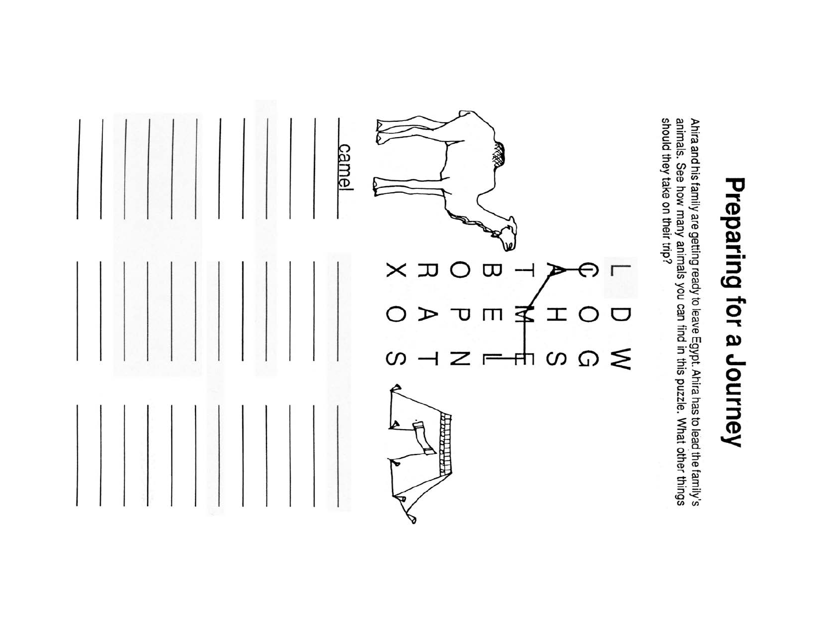# Preparing for a Journey

Ahira and his family are getting ready to leave Egypt. Ahira has to lead the family's<br>animals. See how many animals you can find in this puzzle. What other things<br>should they take on their trip?

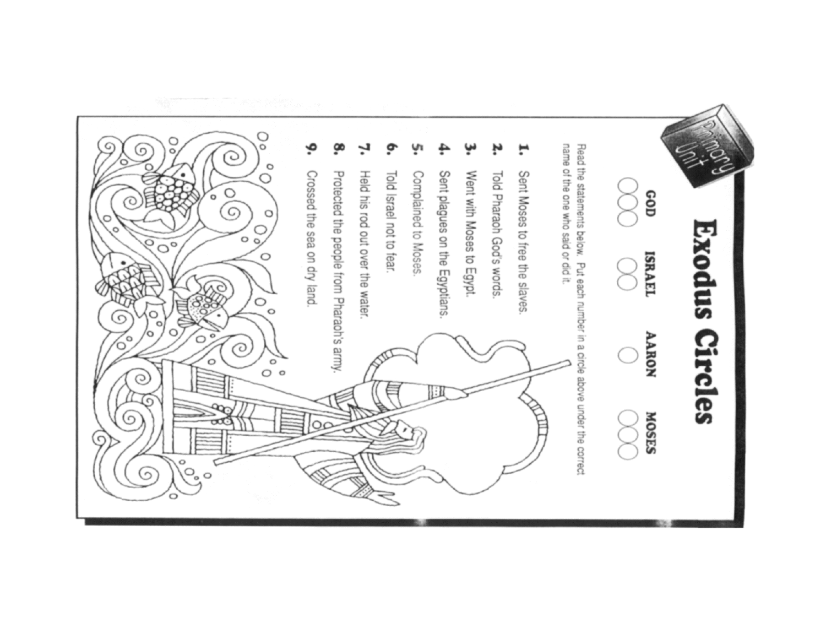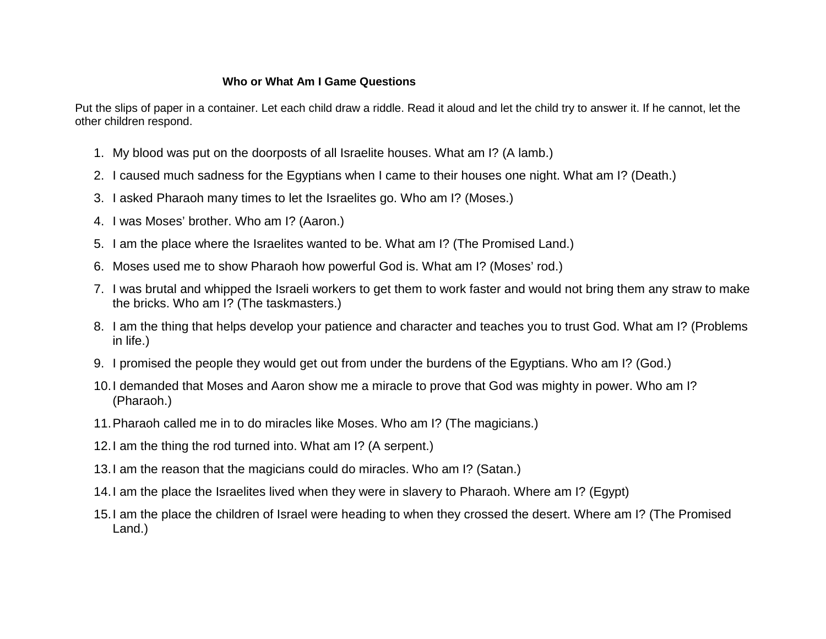# **Who or What Am I Game Questions**

Put the slips of paper in a container. Let each child draw a riddle. Read it aloud and let the child try to answer it. If he cannot, let the other children respond.

- 1. My blood was put on the doorposts of all Israelite houses. What am I? (A lamb.)
- 2. I caused much sadness for the Egyptians when I came to their houses one night. What am I? (Death.)
- 3. I asked Pharaoh many times to let the Israelites go. Who am I? (Moses.)
- 4. I was Moses' brother. Who am I? (Aaron.)
- 5. I am the place where the Israelites wanted to be. What am I? (The Promised Land.)
- 6. Moses used me to show Pharaoh how powerful God is. What am I? (Moses' rod.)
- 7. I was brutal and whipped the Israeli workers to get them to work faster and would not bring them any straw to make the bricks. Who am I? (The taskmasters.)
- 8. I am the thing that helps develop your patience and character and teaches you to trust God. What am I? (Problems in life.)
- 9. I promised the people they would get out from under the burdens of the Egyptians. Who am I? (God.)
- 10.I demanded that Moses and Aaron show me a miracle to prove that God was mighty in power. Who am I? (Pharaoh.)
- 11.Pharaoh called me in to do miracles like Moses. Who am I? (The magicians.)
- 12.I am the thing the rod turned into. What am I? (A serpent.)
- 13.I am the reason that the magicians could do miracles. Who am I? (Satan.)
- 14.I am the place the Israelites lived when they were in slavery to Pharaoh. Where am I? (Egypt)
- 15.I am the place the children of Israel were heading to when they crossed the desert. Where am I? (The Promised Land.)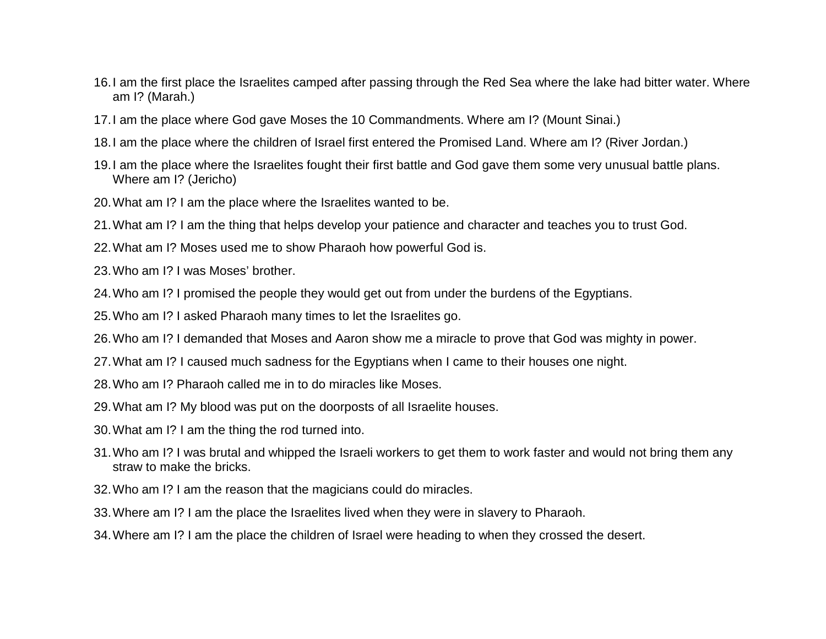- 16.I am the first place the Israelites camped after passing through the Red Sea where the lake had bitter water. Where am I? (Marah.)
- 17.I am the place where God gave Moses the 10 Commandments. Where am I? (Mount Sinai.)
- 18.I am the place where the children of Israel first entered the Promised Land. Where am I? (River Jordan.)
- 19.I am the place where the Israelites fought their first battle and God gave them some very unusual battle plans. Where am I? (Jericho)
- 20.What am I? I am the place where the Israelites wanted to be.
- 21.What am I? I am the thing that helps develop your patience and character and teaches you to trust God.
- 22.What am I? Moses used me to show Pharaoh how powerful God is.
- 23.Who am I? I was Moses' brother.
- 24.Who am I? I promised the people they would get out from under the burdens of the Egyptians.
- 25.Who am I? I asked Pharaoh many times to let the Israelites go.
- 26.Who am I? I demanded that Moses and Aaron show me a miracle to prove that God was mighty in power.
- 27.What am I? I caused much sadness for the Egyptians when I came to their houses one night.
- 28.Who am I? Pharaoh called me in to do miracles like Moses.
- 29.What am I? My blood was put on the doorposts of all Israelite houses.
- 30.What am I? I am the thing the rod turned into.
- 31.Who am I? I was brutal and whipped the Israeli workers to get them to work faster and would not bring them any straw to make the bricks.
- 32.Who am I? I am the reason that the magicians could do miracles.
- 33.Where am I? I am the place the Israelites lived when they were in slavery to Pharaoh.
- 34.Where am I? I am the place the children of Israel were heading to when they crossed the desert.